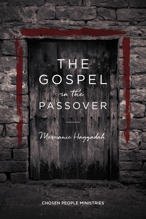# GOSPEL PASSOVER in the **THE**

Messianic Haggadah

CHOSEN PEOPLE MINISTRIES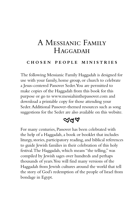# A Messianic Family **HAGGADAH**

#### **c h o s e n p e o p l e m i n i s t r i e s**

The following Messianic Family Haggadah is designed for use with your family, home group, or church to celebrate a Jesus-centered Passover Seder.You are permitted to make copies of the Haggadah from this book for this purpose or go to www.messiahinthepassover.com and download a printable copy for those attending your Seder.Additional Passover-themed resources such as song suggestions for the Seder are also available on this website.

# $\triangle$ ଏ $\triangleleft$

For many centuries, Passover has been celebrated with the help of a Haggadah, a book or booklet that includes liturgy, stories, participatory reading, and biblical references to guide Jewish families in their celebration of this holy festival.The Haggadah, which means "the telling," was compiled by Jewish sages over hundreds and perhaps thousands of years.You will find many versions of the Haggadah from Jewish cultures around the world that tell the story of God's redemption of the people of Israel from bondage in Egypt.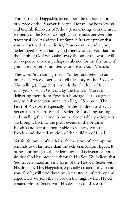This particular Haggadah, based upon the traditional order of service of the Passover, is adapted for use by both Jewish and Gentile followers of Yeshua (Jesus). Along with the usual elements of the Seder, we highlight the links between the traditional Seder and the Last Supper. It is our prayer that you will set aside time during Passover week and enjoy a Seder together with family and friends, so that your faith in the Lamb of God who takes away the sin of the world will be deepened, or even perhaps awakened for the first time if you have not yet committed your life to God's Messiah.

The word *Seder* simply means "order" and refers to an order of service designed to tell the story of the Passover. This telling (Haggadah) reminds the children of Israel each year of what God did by the hand of Moses in delivering them from Egyptian bondage. This is a great way to enhance your understanding of Scripture. The Feast of Passover is especially for the children, as they can personally participate in the Seder. By touching, tasting, and smelling the elements on the Seder table, participants are brought back to the great events of the original Exodus and become better able to identify with the Exodus and the redemption of the children of Israel.

Yet, for followers of the Messiah, the story of redemption reminds us of far more than the deliverance from Egypt. It brings our minds to the redemption and deliverance from sin that God has provided through His Son. We believe that Yeshua celebrated an early form of the Passover Seder with His disciples. This Haggadah, especially created for you and your family, will wed these two great stories of redemption together, as we join the Savior on that night when He celebrated His last Seder with His disciples on this earth.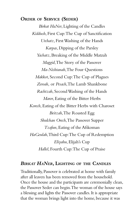# **Order of Service (Seder)**

*Birkat HaNer*, Lighting of the Candles *Kiddush*, First Cup: The Cup of Sanctification *Urchatz*, First Washing of the Hands *Karpas*, Dipping of the Parsley *Yachatz*, Breaking of the Middle Matzah *Maggid*, The Story of the Passover *Ma-Nishtanah*, The Four Questions *Makkot*, Second Cup: The Cup of Plagues *Zeroah,* or *Pesach*, The Lamb Shankbone *Rachtzah*, Second Washing of the Hands *Maror*, Eating of the Bitter Herbs *Korech*, Eating of the Bitter Herbs with Charoset *Beitzah*, The Roasted Egg *Shulchan Orech*, The Passover Supper *Tzafun*, Eating of the Afikoman *HaGeulah*, Third Cup: The Cup of Redemption *Eliyahu*, Elijah's Cup *Hallel*, Fourth Cup: The Cup of Praise

#### *Birkat HaNer***, Lighting of the Candles**

Traditionally, Passover is celebrated at home with family after all leaven has been removed from the household. Once the house and the participants are ceremonially clean, the Passover Seder can begin. The woman of the house says a blessing and lights the Passover candles. It is appropriate that the woman brings light into the home, because it was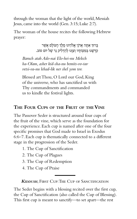through the woman that the light of the world, Messiah Jesus, came into the world (Gen. 3:15; Luke 2:7).

The woman of the house recites the following Hebrew prayer:

> ּבָ רּוְך אַ ּתָ ה אֲ דֹנָי אֱ ֹלהֵ ינּו מֶ לֶ ְך הָ עֹולָ ם אֲ ׁשֶ ר קדשנו במצותיו וצוּנוּ להדליק נר של יום טוב.

*Baruch atah Ado-nai Elo-hei-nu Melech ha-Olam, asher kid-sha-nu bemits-vo-tav vetsi-va-nu lehad-lik ner shel yom tov.*

Blessed art Thou, O Lord our God, King of the universe, who has sanctified us with Thy commandments and commanded us to kindle the festival lights.

# **The Four Cups of the Fruit of theVine**

The Passover Seder is structured around four cups of the fruit of the vine, which serve as the foundation for the experience. Each cup is named after one of the four specific promises that God made to Israel in Exodus 6:6–7. Each cup is thematically connected to a different stage in the progression of the Seder.

- 1. The Cup of Sanctification
- 2. The Cup of Plagues
- 3. The Cup of Redemption
- 4. The Cup of Praise

*Kiddush*, First Cup: The Cup of Sanctification

The Seder begins with a blessing recited over the first cup, the Cup of Sanctification (also called the Cup of Blessing). This first cup is meant to sanctify—to set apart—the rest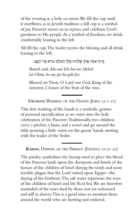of the evening as a holy occasion. We fill the cup until it overflows, as in Jewish tradition a full cup is a symbol of joy. Passover moves us to rejoice and celebrate God's goodness to His people. As a symbol of freedom, we drink comfortably leaning to the left.

All fill the cup. The leader recites the blessing and all drink leaning to the left:

ּבָ רּוְך אַ ּתָ ה אֲ דֹנָי אֱ ֹלהֵ ינּו מֶ לֶ ְך הָ עֹולָ ם ּבֹורֵ א ּפְ רִ י הַ גָ פֶ ן.

*Baruch atah Ado-nai Elo-hei-nu Melech ha-Olam, bo-ray pri ha-gah-fen.*

Blessed art Thou, O Lord our God, King of the universe, Creator of the fruit of the vine.

*Urchatz*, Washing of the Hands (John 13:1–11)

This first washing of the hands is a symbolic gesture of personal sanctification as we enter into the holy celebration of the Passover. Traditionally, two children carry a pitcher, a basin, and a towel and go around the table pouring a little water on the guests' hands, starting with the leader of the Seder.

*Karpas*, Dipping of the Parsley (Exodus 12:21–22)

The parsley symbolizes the hyssop used to place the blood of the Passover lamb upon the doorposts and lintels of the homes of the children of Israel during the tenth and most terrible plague that the Lord visited upon Egypt—the slaying of the firstborn. The salt water represents the tears of the children of Israel and the Red Sea. We are therefore reminded of the tears shed by those not yet redeemed and still in slavery. This is a good time to mention those around the world who are hurting and enslaved.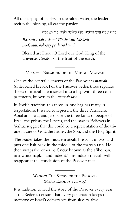All dip a sprig of parsley in the salted water, the leader recites the blessing, all eat the parsley.

ּבָרוּךְ אַתָּה אֲדֹנָי אֱלֹהֵינוּ מֶלֵךְ הָעוֹלָם בּוֹרֵא פְּרִי הָאֲדָמָה.

*Ba-ruch Atah Adonai Elo-hei-nu Me-lech ha-Olam, boh-ray pri ha-adamah.*

Blessed art Thou, O Lord our God, King of the universe, Creator of the fruit of the earth.

*Yachatz,* Breaking of the Middle Matzah

One of the central elements of the Passover is *matzah* (unleavened bread). For the Passover Seder, three separate sheets of matzah are inserted into a bag with three compartments, known as the *matzah tash.*

In Jewish tradition, this three-in-one bag has many interpretations. It is said to represent the three Patriarchs: Abraham, Isaac, and Jacob; or the three kinds of people of Israel: the priests, the Levites, and the masses. Believers in Yeshua suggest that this could be a representation of the triune nature of God: the Father, the Son, and the Holy Spirit.

The leader takes the middle matzah, breaks it in two and puts one half back in the middle of the matzah tash. He then wraps the other half, now known as the afikoman, in a white napkin and hides it. This hidden matzah will reappear at the conclusion of the Passover meal.

> *Maggid*, The Story of the Passover (Read Exodus 12:1–15)

It is tradition to read the story of the Passover every year at the Seder, to ensure that every generation keeps the memory of Israel's deliverance from slavery alive.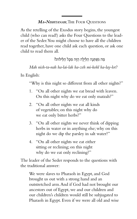# *Ma-Nishtanah*, The Four Questions

As the retelling of the Exodus story begins, the youngest child (who can read!) asks the Four Questions to the leader of the Seder. You might choose to have all the children read together, have one child ask each question, or ask one child to read them all.

מַה נִשְׁתַּנַה הַלַּיְלַה הַזֶּה מִכַּל הַלֵּילוֹת?

*Mah nish-ta-nah ha-lai-lah ha-zeh mi-kohl ha-lay-lot?*

In English:

"Why is this night so different from all other nights?"

- 1. "On all other nights we eat bread with leaven. On this night why do we eat only matzah?"
- 2. "On all other nights we eat all kinds of vegetables; on this night why do we eat only bitter herbs?"
- 3. "On all other nights we never think of dipping herbs in water or in anything else; why on this night do we dip the parsley in salt water?"
- 4. "On all other nights we eat either sitting or reclining; on this night why do we eat only reclining?"

The leader of the Seder responds to the questions with the traditional answer:

We were slaves to Pharaoh in Egypt, and God brought us out with a strong hand and an outstretched arm. And if God had not brought our ancestors out of Egypt, we and our children and our children's children would still be subjugated to Pharaoh in Egypt. Even if we were all old and wise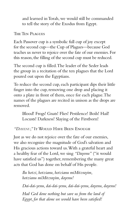and learned in Torah, we would still be commanded to tell the story of the Exodus from Egypt.

The Ten Plagues

Each Passover cup is a symbolic full cup of joy except for the second cup—the Cup of Plagues—because God teaches us never to rejoice over the fate of our enemies. For this reason, the filling of the second cup must be reduced.

The second cup is filled. The leader of the Seder leads the group in a recitation of the ten plagues that the Lord poured out upon the Egyptians.

To reduce the second cup, each participant dips their little finger into the cup, removing one drop and placing it onto a plate in front of them, once for each plague. The names of the plagues are recited in unison as the drops are removed.

Blood! Frogs! Gnats! Flies! Pestilence! Boils! Hail! Locusts! Darkness! Slaying of the Firstborn!

### *"Dayenu,"* It Would Have Been Enough

Just as we do not rejoice over the fate of our enemies, we also recognize the magnitude of God's salvation and His gracious actions toward us. With a grateful heart and a healthy fear of the Lord, we sing *"Dayenu"* ("it would have satisfied us") together, remembering the many great acts that God has done on behalf of His people.

*Ilu hotzi, hotzianu, hotzianu miMitzrayim, hotzianu miMitzrayim, dayenu!*

*Dai-dai-yenu, dai-dai-yenu, dai-dai-yenu, dayenu, dayenu!*

*Had God done nothing but save us from the land of Egypt, for that alone we would have been satisfied!*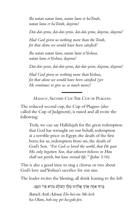*Ilu natan natan lanu, natan lanu et haTorah, natan lanu et haTorah, dayenu!*

*Dai-dai-yenu, dai-dai-yenu, dai-dai-yenu, dayenu, dayenu!*

*Had God given us nothing more than the Torah, for that alone we would have been satisfied!*

*Ilu natan natan lanu, natan lanu et Yeshua, natan lanu et Yeshua, dayenu!*

*Dai-dai-yenu, dai-dai-yenu, dai-dai-yenu, dayenu, dayenu!*

*Had God given us nothing more than Yeshua, for that alone we would have been satisfied (yet He continues to give us so much more)!*

*Makkot,* Second Cup: The Cup of Plagues

The reduced second cup, the Cup of Plagues (also called the Cup of Judgment), is raised and all recite the following:

Truly, we can say Hallelujah for the great redemption that God has wrought on our behalf, redemption at a terrible price: in Egypt, the death of the first born; for us, redemption from sin, the death of God's Son. *"For God so loved the world, that He gave His only begotten Son, that whoever believes in Him shall not perish, but have eternal life."* (John 3:16)

This is also a good time to sing a chorus or two about God's love and Yeshua's sacrifice for our sins.

The leader recites the blessing, all drink leaning to the left:

ּבָ רּוְך אַ ּתָ ה אֲ דֹנָי אֱ ֹלהֵ ינּו מֶ לֶ ְך הָ עֹולָ ם ּבֹורֵ א ּפְ רִ י הַ גָ פֶ ן.

*Baruch Atah Adonai Elo-hei-nu Me-lech ha-Olam, boh-ray pri ha-gah-fen.*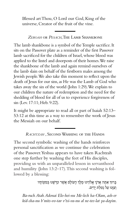Blessed art Thou, O Lord our God, King of the universe, Creator of the fruit of the vine.

*Zeroah* or *Pesach*, The Lamb Shankbone

The lamb shankbone is a symbol of the Temple sacrifice. It sits on the Passover plate as a reminder of the first Passover lamb sacrificed for the children of Israel, whose blood was applied to the lintel and doorposts of their homes. We raise the shankbone of the lamb and again remind ourselves of the lamb slain on behalf of the firstborn males among the Jewish people. We also take this moment to reflect upon the death of Jesus for our sins, as He was the Lamb of God who takes away the sin of the world (John 1:29). We explain to our children the nature of redemption and the need for the shedding of blood for all of us to experience forgiveness of sin (Lev. 17:11; Heb. 9:22).

It might be appropriate to read all or part of Isaiah 52:13– 53:12 at this time as a way to remember the work of Jesus the Messiah on our behalf.

*Rachtzah* , Second Washing of the Hands

The second symbolic washing of the hands reinforces personal sanctification as we continue the celebration of the Passover. Yeshua appears to have taken Rachtzah one step further by washing the feet of His disciples, providing us with an unparalleled lesson in servanthood and humility (John 13:2–17). This second washing is followed by a blessing:

> ּבָרוּךְ אַתָּה אֲדֹנָי אֱלֹהֵינוּ מֶלֶךְ הָעוֹלָם אֲשֶׁר קִדְּשָׁנוּ בְּמִצְוֹתָיו וְצוּנוּ עַל נִטְלַת יִדִים.

*Ba-ruch Atah Adonai Elo-hei-nu Me-lech ha-Olam, ash-er kid-sha-nu b'mits-vo-tav v'tsi-va-nu al ne-tee-lat ya-dayim.*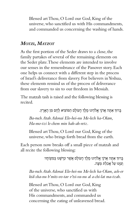Blessed art Thou, O Lord our God, King of the universe, who sanctified us with His commandments, and commanded us concerning the washing of hands.

# *Motzi***,** *Matzot*

As the first portion of the Seder draws to a close, the family partakes of several of the remaining elements on the Seder plate. These elements are intended to involve our senses in the remembrance of the Passover story. Each one helps us connect with a different step in the process of Israel's deliverance from slavery. For believers in Yeshua, these elements remind us of the process of deliverance from our slavery to sin to our freedom in Messiah.

The matzah tash is raised and the following blessing is recited.

ּבָ רּוְך אַ ּתָ ה אֲ דֹנָי אֱ ֹלהֵ ינּו מֶ לֶ ְך הָ עֹולָ ם הַ ּמֹוצִ יא לֶ חֶ ם מִ ן הָ אָ רֶ ץ.

*Ba-ruch Atah Adonai Elo-hei-nu Me-lech ha-Olam, Ha-mo-tzi le-chem min hah-ah-retz.*

Blessed art Thou, O Lord our God, King of the universe, who brings forth bread from the earth.

Each person now breaks off a small piece of matzah and all recite the following blessing:

> ּבַרוּךְ אַתָּה אֲדֹנַי אֱלֹהֵינוּ מֶלֶךְ הַעוֹלַם אֲשֶר קִדְּשָׁנוּ בְּמִצְוֹתֵיו וִצוּנוּ עַל אֲכִלַת מַצָּה.

*Ba-ruch Atah Adonai Elo-hei-nu Me-lech ha-Olam, ash-er kid-sha-nu b'mits-vo-tav v'tsi-va-nu al a-chi-lat ma-tzah.*

Blessed art Thou, O Lord our God, King of the universe, who sanctified us with His commandments, and commanded us concerning the eating of unleavened bread.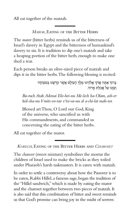All eat together of the matzah.

*Maror*, Eating of the Bitter Herbs

The *maror* (bitter herbs) reminds us of the bitterness of Israel's slavery in Egypt and the bitterness of humankind's slavery to sin. It is tradition to dip one's matzah and take a heaping portion of the bitter herb, enough to make one shed a tear.

Each person breaks an olive-sized piece of matzah and dips it in the bitter herbs. The following blessing is recited:

> ּבַרוּךְ אַתָּה אֲדֹנַי אֱלֹהֵינוּ מֶלֶךְ הַעוֹלַם אֲשֶׁר קִדְּשָׁנוּ בְּמִצְוֹתַיו וְצִוּנוּ עַל אֲכָלַת מַרוֹר.

*Ba-ruch Atah Adonai Elo-hei-nu Me-lech ha-Olam, ash-er kid-sha-nu b'mits-vo-tav v'tsi-va-nu al a-chi-lat mah-ror.*

Blessed art Thou, O Lord our God, King of the universe, who sanctified us with His commandments, and commanded us concerning the eating of the bitter herbs.

All eat together of the maror.

*Korech*, Eating of the Bitter Herbs and *Charoset*

The *charoset* (sweet mixture) symbolizes the mortar the children of Israel used to make the bricks as they toiled under Pharaoh's harsh taskmasters. It is eaten with matzah.

In order to settle a controversy about how the Passover is to be eaten, Rabbi Hillel, a famous sage, began the tradition of the "Hillel sandwich," which is made by eating the maror and the charoset together between two pieces of matzah. It is also said that this combination of bitter and sweet reminds us that God's promise can bring joy in the midst of sorrow.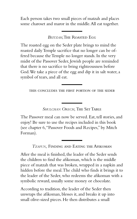Each person takes two small pieces of matzah and places some charoset and maror in the middle. All eat together.

*Beitzah*, The Roasted Egg

The roasted egg on the Seder plate brings to mind the roasted daily Temple sacrifice that no longer can be offered because the Temple no longer stands. In the very midst of the Passover Seder, Jewish people are reminded that there is no sacrifice to bring righteousness before God. We take a piece of the egg and dip it in salt water, a symbol of tears, and all eat.

this concludes the first portion of the seder

*Shulchan Orech,* The Set Table

The Passover meal can now be served. Eat, tell stories, and enjoy! Be sure to use the recipes included in this book (see chapter 6, "Passover Foods and Recipes," by Mitch Forman).

*Tzafun,* Finding and Eating the Afikoman

After the meal is finished, the leader of the Seder sends the children to find the afikoman, which is the middle piece of matzah that was broken, wrapped in a napkin and hidden before the meal. The child who finds it brings it to the leader of the Seder, who redeems the afikoman with a symbolic reward, usually some money or chocolate.

According to tradition, the leader of the Seder then unwraps the afikoman, blesses it, and breaks it up into small olive-sized pieces. He then distributes a small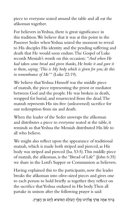piece to everyone seated around the table and all eat the afikoman together.

For believers in Yeshua, there is great significance in this tradition. We believe that it was at this point in the Passover Seder when Yeshua seized the moment to reveal to His disciples His identity and the pending suffering and death that He would soon endure. The Gospel of Luke records Messiah's words on this occasion: *"And when He had taken some bread and given thanks, He broke it and gave it to them, saying, 'This is My body which is given for you; do this in remembrance of Me'"* (Luke 22:19).

We believe that Yeshua Himself was the middle piece of matzah, the piece representing the priest or mediator between God and the people. He was broken in death, wrapped for burial, and resurrected from the dead. The matzah represents His sin-free (unleavened) sacrifice for our redemption from sin and death.

When the leader of the Seder unwraps the afikoman and distributes a piece to everyone seated at the table, it reminds us that Yeshua the Messiah distributed His life to all who believe.

We might also reflect upon the appearance of traditional matzah, which is made both striped and pierced, as His body was striped and pierced (Isa. 53:5). This middle piece of matzah, the afikoman, is the "Bread of Life" (John 6:35) we share in the Lord's Supper or Communion as believers.

Having explained this to the participants, now the leader breaks the afikoman into olive-sized pieces and gives one to each person to hold briefly as together they reflect on the sacrifice that Yeshua endured in His body. Then all partake in unison after the following prayer is said:

ּבַּרוּךְ אַתָּה אֲדֹנַי אֱלֹהֵינוּ מֶלֵךְ הָעוֹלָם הַמּוֹצִיא לֶחֶם מִן הָאָרֶץ.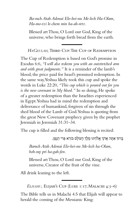*Ba-ruch Atah Adonai Elo-hei-nu Me-lech Ha-Olam, Ha-mo-tzi le-chem min ha-ah-retz.*

Blessed art Thou, O Lord our God, King of the universe, who brings forth bread from the earth.

HAGEULAH, THIRD CUP: THE CUP OF REDEMPTION

The Cup of Redemption is based on God's promise in Exodus 6:6, *"I will also redeem you with an outstretched arm and with great judgments."* It is a reminder of the lamb's blood, the price paid for Israel's promised redemption. In the same way, Yeshua likely took this cup and spoke the words in Luke 22:20, *"This cup which is poured out for you is the new covenant in My blood."* In so doing, He spoke of a greater redemption than the Israelites experienced in Egypt. Yeshua had in mind the redemption and deliverance of humankind, forgiven of sin through the shed blood of the Lamb of God. Yeshua is quoting from the great New Covenant prophecy given by the prophet Jeremiah in Jeremiah 31:31–34.

The cup is filled and the following blessing is recited:

ּבָ רּוְך אַ ּתָ ה אֲ דֹנָי אֱ ֹלהֵ ינּו מֶ לֶ ְך הָ עֹולָ ם ּבֹורֵ א ּפְ רִ י הַ גָ פֶ ן.

*Baruch Atah Adonai Elo-hei-nu Me-lech ha-Olam, boh-ray pri ha-gah-fen.*

Blessed art Thou, O Lord our God, King of the universe, Creator of the fruit of the vine.

All drink leaning to the left.

*Eliyahu,* Elijah's Cup (Luke 1:17; Malachi 4:5–6)

The Bible tells us in Malachi 4:5 that Elijah will appear to herald the coming of the Messianic King: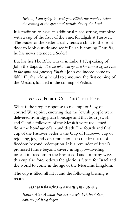*Behold, I am going to send you Elijah the prophet before the coming of the great and terrible day of the Lord.*

It is tradition to have an additional place setting, complete with a cup of the fruit of the vine, for Elijah at Passover. The leader of the Seder usually sends a child to the front door to look outside and see if Elijah is coming. Thus far, he has never attended a Seder!

But has he? The Bible tells us in Luke 1:17, speaking of John the Baptist, *"It is he who will go as a forerunner before Him in the spirit and power of Elijah."* John did indeed come to fulfill Elijah's role as herald to announce the first coming of the Messiah, fulfilled in the coming of Yeshua.

#### *Hallel,* Fourth Cup: The Cup of Praise

What is the proper response to redemption? Joy, of course! We rejoice, knowing that the Jewish people were delivered from Egyptian bondage and that both Jewish and Gentile followers of the Messiah were redeemed from the bondage of sin and death. The fourth and final cup of the Passover Seder is the Cup of Praise—a cup of rejoicing, joy, and consummation. It is the first taste of freedom beyond redemption. It is a reminder of Israel's promised future beyond slavery in Egypt—dwelling instead in freedom in the Promised Land. In many ways, this cup also foreshadows the glorious future for Israel and the world to come in the age of the Messianic kingdom.

The cup is filled, all lift it and the following blessing is recited:

ַ בְּרוּךְ אַתַּה אֲדֹנֵי אֱלֹהֵינוּ מֶלֶךְ הַעוֹלָם בּוֹרֵא פְּרִי הַגָּפֶן.

*Baruch Atah Adonai Elo-hei-nu Me-lech ha-Olam, boh-ray pri ha-gah-fen.*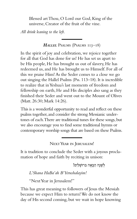Blessed art Thou, O Lord our God, King of the universe, Creator of the fruit of the vine.

*All drink leaning to the left.*

*Hallel* Psalms (Psalms 113–18)

In the spirit of joy and celebration, we rejoice together for all that God has done for us! He has set us apart to be His people, He has brought us out of slavery, He has redeemed us, and He has brought us to Himself. For all of this we praise Him! As the Seder comes to a close we go out singing the Hallel Psalms (Pss. 113–18). It is incredible to realize that in Yeshua's last moments of freedom and fellowship on earth, He and His disciples also sang as they finished their Seder and went out to the Mount of Olives (Matt. 26:30; Mark 14:26).

This is a wonderful opportunity to read and reflect on these psalms together, and consider the strong Messianic undertones of each. There are traditional tunes for these songs, but we also encourage you to find some traditional hymns or contemporary worship songs that are based on these Psalms.

Next Year in Jerusalem!

It is tradition to conclude the Seder with a joyous proclamation of hope and faith by reciting in unison:

לְשָׁנָה הַבֵּאָה בַּרוּשָׁלִים!

*L'Shana HaBa'ah B'Yerushalayim!*

"Next Year in Jerusalem!"

This has great meaning to followers of Jesus the Messiah because we expect Him to return! We do not know the day of His second coming, but we wait in hope knowing